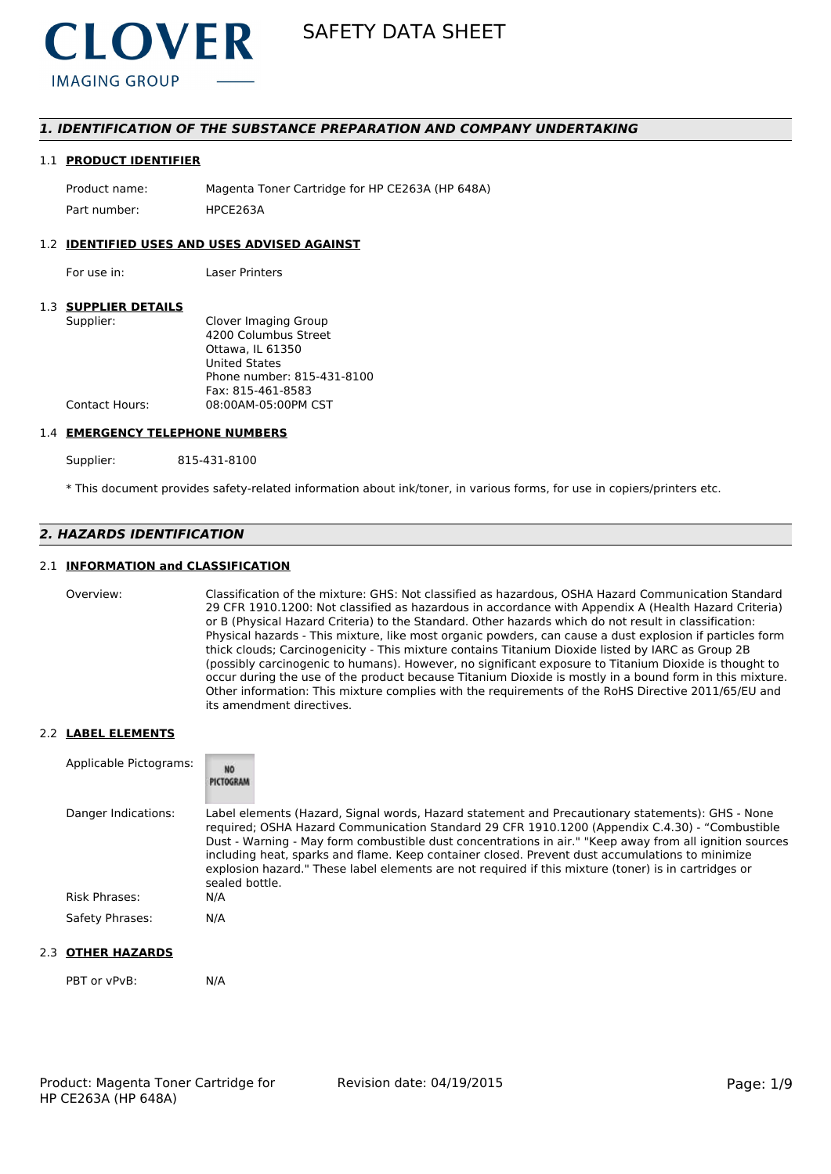

# *1. IDENTIFICATION OF THE SUBSTANCE PREPARATION AND COMPANY UNDERTAKING*

#### 1.1 **PRODUCT IDENTIFIER**

Product name: Magenta Toner Cartridge for HP CE263A (HP 648A) Part number: HPCE2634

#### 1.2 **IDENTIFIED USES AND USES ADVISED AGAINST**

For use in: Laser Printers

#### 1.3 **SUPPLIER DETAILS**

| Supplier:      | Clover Imaging Group       |
|----------------|----------------------------|
|                | 4200 Columbus Street       |
|                | Ottawa. IL 61350           |
|                | <b>United States</b>       |
|                | Phone number: 815-431-8100 |
|                | Fax: 815-461-8583          |
| Contact Hours: | 08:00AM-05:00PM CST        |
|                |                            |

#### 1.4 **EMERGENCY TELEPHONE NUMBERS**

Supplier: 815-431-8100

\* This document provides safety-related information about ink/toner, in various forms, for use in copiers/printers etc.

# *2. HAZARDS IDENTIFICATION*

### 2.1 **INFORMATION and CLASSIFICATION**

Overview: Classification of the mixture: GHS: Not classified as hazardous, OSHA Hazard Communication Standard 29 CFR 1910.1200: Not classified as hazardous in accordance with Appendix A (Health Hazard Criteria) or B (Physical Hazard Criteria) to the Standard. Other hazards which do not result in classification: Physical hazards - This mixture, like most organic powders, can cause a dust explosion if particles form thick clouds; Carcinogenicity - This mixture contains Titanium Dioxide listed by IARC as Group 2B (possibly carcinogenic to humans). However, no significant exposure to Titanium Dioxide is thought to occur during the use of the product because Titanium Dioxide is mostly in a bound form in this mixture. Other information: This mixture complies with the requirements of the RoHS Directive 2011/65/EU and its amendment directives.

#### 2.2 **LABEL ELEMENTS**

| Applicable Pictograms: | <b>NO</b><br>PICTOGRAM                                                                                                                                                                                                                                                                                                                                                                                                                                                                                                                     |
|------------------------|--------------------------------------------------------------------------------------------------------------------------------------------------------------------------------------------------------------------------------------------------------------------------------------------------------------------------------------------------------------------------------------------------------------------------------------------------------------------------------------------------------------------------------------------|
| Danger Indications:    | Label elements (Hazard, Signal words, Hazard statement and Precautionary statements): GHS - None<br>required; OSHA Hazard Communication Standard 29 CFR 1910.1200 (Appendix C.4.30) - "Combustible<br>Dust - Warning - May form combustible dust concentrations in air." "Keep away from all ignition sources<br>including heat, sparks and flame. Keep container closed. Prevent dust accumulations to minimize<br>explosion hazard." These label elements are not required if this mixture (toner) is in cartridges or<br>sealed bottle. |
| <b>Risk Phrases:</b>   | N/A                                                                                                                                                                                                                                                                                                                                                                                                                                                                                                                                        |
| Safety Phrases:        | N/A                                                                                                                                                                                                                                                                                                                                                                                                                                                                                                                                        |

## 2.3 **OTHER HAZARDS**

PBT or vPvB: N/A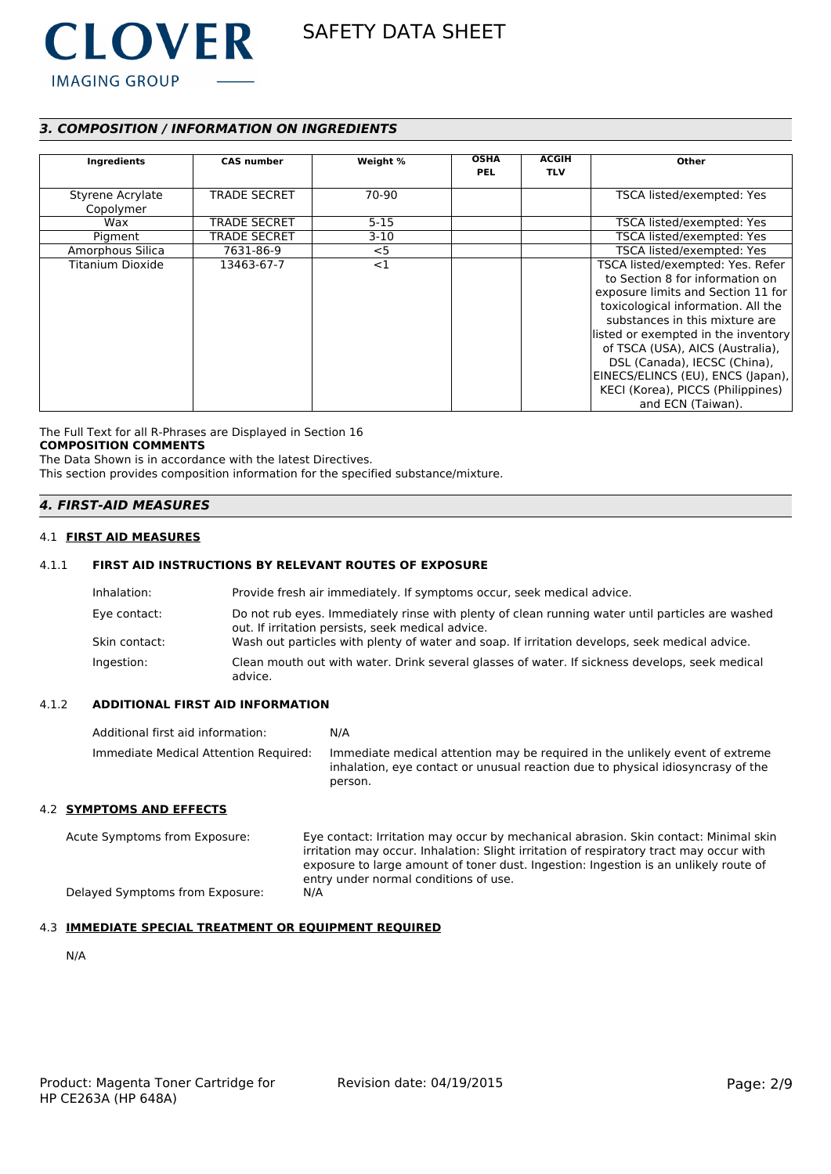

# *3. COMPOSITION / INFORMATION ON INGREDIENTS*

| Ingredients                   | <b>CAS number</b>   | Weight % | <b>OSHA</b><br><b>PEL</b> | <b>ACGIH</b><br><b>TLV</b> | Other                                                                                                                                                                                                                                                                                                                                                                                       |
|-------------------------------|---------------------|----------|---------------------------|----------------------------|---------------------------------------------------------------------------------------------------------------------------------------------------------------------------------------------------------------------------------------------------------------------------------------------------------------------------------------------------------------------------------------------|
| Styrene Acrylate<br>Copolymer | <b>TRADE SECRET</b> | 70-90    |                           |                            | TSCA listed/exempted: Yes                                                                                                                                                                                                                                                                                                                                                                   |
| Wax                           | <b>TRADE SECRET</b> | $5 - 15$ |                           |                            | TSCA listed/exempted: Yes                                                                                                                                                                                                                                                                                                                                                                   |
| Pigment                       | <b>TRADE SECRET</b> | $3-10$   |                           |                            | TSCA listed/exempted: Yes                                                                                                                                                                                                                                                                                                                                                                   |
| Amorphous Silica              | 7631-86-9           | $<$ 5    |                           |                            | TSCA listed/exempted: Yes                                                                                                                                                                                                                                                                                                                                                                   |
| Titanium Dioxide              | 13463-67-7          | <1       |                           |                            | TSCA listed/exempted: Yes. Refer<br>to Section 8 for information on<br>exposure limits and Section 11 for<br>toxicological information. All the<br>substances in this mixture are<br>listed or exempted in the inventory<br>of TSCA (USA), AICS (Australia),<br>DSL (Canada), IECSC (China),<br>EINECS/ELINCS (EU), ENCS (Japan),<br>KECI (Korea), PICCS (Philippines)<br>and ECN (Taiwan). |

The Full Text for all R-Phrases are Displayed in Section 16 **COMPOSITION COMMENTS**

The Data Shown is in accordance with the latest Directives.

This section provides composition information for the specified substance/mixture.

# *4. FIRST-AID MEASURES*

#### 4.1 **FIRST AID MEASURES**

### 4.1.1 **FIRST AID INSTRUCTIONS BY RELEVANT ROUTES OF EXPOSURE**

| Inhalation:   | Provide fresh air immediately. If symptoms occur, seek medical advice.                                                                                |
|---------------|-------------------------------------------------------------------------------------------------------------------------------------------------------|
| Eye contact:  | Do not rub eyes. Immediately rinse with plenty of clean running water until particles are washed<br>out. If irritation persists, seek medical advice. |
| Skin contact: | Wash out particles with plenty of water and soap. If irritation develops, seek medical advice.                                                        |
| Ingestion:    | Clean mouth out with water. Drink several glasses of water. If sickness develops, seek medical<br>advice.                                             |

#### 4.1.2 **ADDITIONAL FIRST AID INFORMATION**

Additional first aid information: N/A Immediate Medical Attention Required: Immediate medical attention may be required in the unlikely event of extreme inhalation, eye contact or unusual reaction due to physical idiosyncrasy of the person.

#### 4.2 **SYMPTOMS AND EFFECTS**

Acute Symptoms from Exposure: Eye contact: Irritation may occur by mechanical abrasion. Skin contact: Minimal skin irritation may occur. Inhalation: Slight irritation of respiratory tract may occur with exposure to large amount of toner dust. Ingestion: Ingestion is an unlikely route of entry under normal conditions of use. Delayed Symptoms from Exposure: N/A

#### 4.3 **IMMEDIATE SPECIAL TREATMENT OR EQUIPMENT REQUIRED**

N/A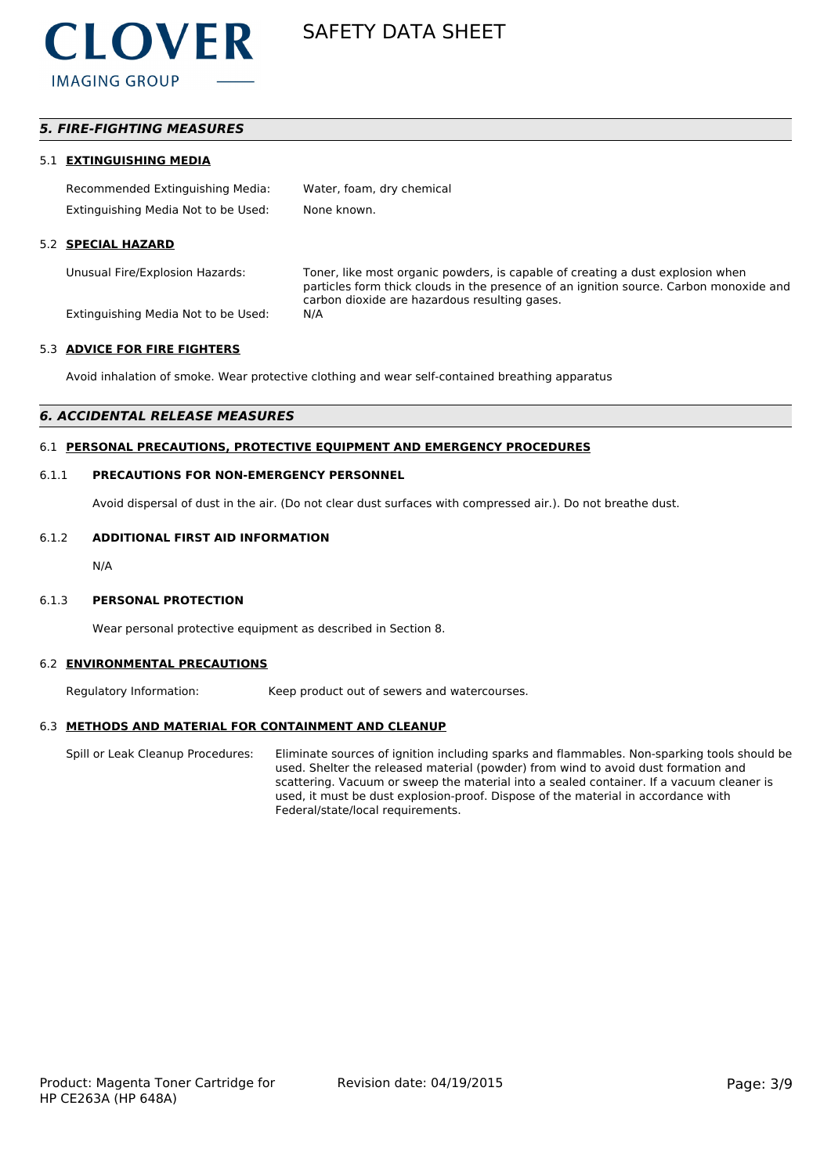

# *5. FIRE-FIGHTING MEASURES*

#### 5.1 **EXTINGUISHING MEDIA**

| Recommended Extinguishing Media:    | Water, foam, dry chemical |
|-------------------------------------|---------------------------|
| Extinguishing Media Not to be Used: | None known.               |

#### 5.2 **SPECIAL HAZARD**

Unusual Fire/Explosion Hazards: Toner, like most organic powders, is capable of creating a dust explosion when particles form thick clouds in the presence of an ignition source. Carbon monoxide and carbon dioxide are hazardous resulting gases.

Extinguishing Media Not to be Used: N/A

#### 5.3 **ADVICE FOR FIRE FIGHTERS**

Avoid inhalation of smoke. Wear protective clothing and wear self-contained breathing apparatus

#### *6. ACCIDENTAL RELEASE MEASURES*

#### 6.1 **PERSONAL PRECAUTIONS, PROTECTIVE EQUIPMENT AND EMERGENCY PROCEDURES**

#### 6.1.1 **PRECAUTIONS FOR NON-EMERGENCY PERSONNEL**

Avoid dispersal of dust in the air. (Do not clear dust surfaces with compressed air.). Do not breathe dust.

#### 6.1.2 **ADDITIONAL FIRST AID INFORMATION**

N/A

#### 6.1.3 **PERSONAL PROTECTION**

Wear personal protective equipment as described in Section 8.

#### 6.2 **ENVIRONMENTAL PRECAUTIONS**

Regulatory Information: Keep product out of sewers and watercourses.

#### 6.3 **METHODS AND MATERIAL FOR CONTAINMENT AND CLEANUP**

Spill or Leak Cleanup Procedures: Eliminate sources of ignition including sparks and flammables. Non-sparking tools should be used. Shelter the released material (powder) from wind to avoid dust formation and scattering. Vacuum or sweep the material into a sealed container. If a vacuum cleaner is used, it must be dust explosion-proof. Dispose of the material in accordance with Federal/state/local requirements.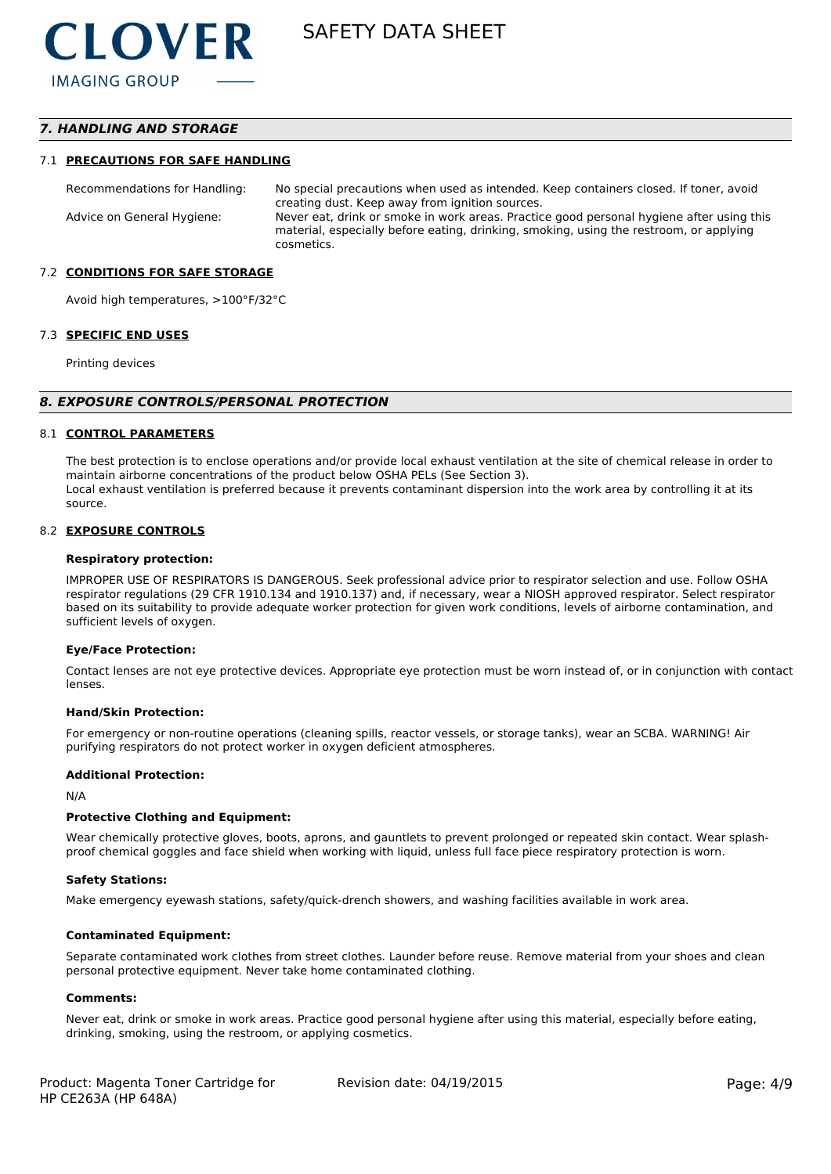# *7. HANDLING AND STORAGE*

#### 7.1 **PRECAUTIONS FOR SAFE HANDLING**

Recommendations for Handling: No special precautions when used as intended. Keep containers closed. If toner, avoid creating dust. Keep away from ignition sources. Advice on General Hygiene: Never eat, drink or smoke in work areas. Practice good personal hygiene after using this material, especially before eating, drinking, smoking, using the restroom, or applying cosmetics.

#### 7.2 **CONDITIONS FOR SAFE STORAGE**

Avoid high temperatures, >100°F/32°C

#### 7.3 **SPECIFIC END USES**

Printing devices

#### *8. EXPOSURE CONTROLS/PERSONAL PROTECTION*

#### 8.1 **CONTROL PARAMETERS**

The best protection is to enclose operations and/or provide local exhaust ventilation at the site of chemical release in order to maintain airborne concentrations of the product below OSHA PELs (See Section 3). Local exhaust ventilation is preferred because it prevents contaminant dispersion into the work area by controlling it at its source.

#### 8.2 **EXPOSURE CONTROLS**

#### **Respiratory protection:**

IMPROPER USE OF RESPIRATORS IS DANGEROUS. Seek professional advice prior to respirator selection and use. Follow OSHA respirator regulations (29 CFR 1910.134 and 1910.137) and, if necessary, wear a NIOSH approved respirator. Select respirator based on its suitability to provide adequate worker protection for given work conditions, levels of airborne contamination, and sufficient levels of oxygen.

#### **Eye/Face Protection:**

Contact lenses are not eye protective devices. Appropriate eye protection must be worn instead of, or in conjunction with contact lenses.

#### **Hand/Skin Protection:**

For emergency or non-routine operations (cleaning spills, reactor vessels, or storage tanks), wear an SCBA. WARNING! Air purifying respirators do not protect worker in oxygen deficient atmospheres.

#### **Additional Protection:**

N/A

#### **Protective Clothing and Equipment:**

Wear chemically protective gloves, boots, aprons, and gauntlets to prevent prolonged or repeated skin contact. Wear splashproof chemical goggles and face shield when working with liquid, unless full face piece respiratory protection is worn.

#### **Safety Stations:**

Make emergency eyewash stations, safety/quick-drench showers, and washing facilities available in work area.

#### **Contaminated Equipment:**

Separate contaminated work clothes from street clothes. Launder before reuse. Remove material from your shoes and clean personal protective equipment. Never take home contaminated clothing.

#### **Comments:**

Never eat, drink or smoke in work areas. Practice good personal hygiene after using this material, especially before eating, drinking, smoking, using the restroom, or applying cosmetics.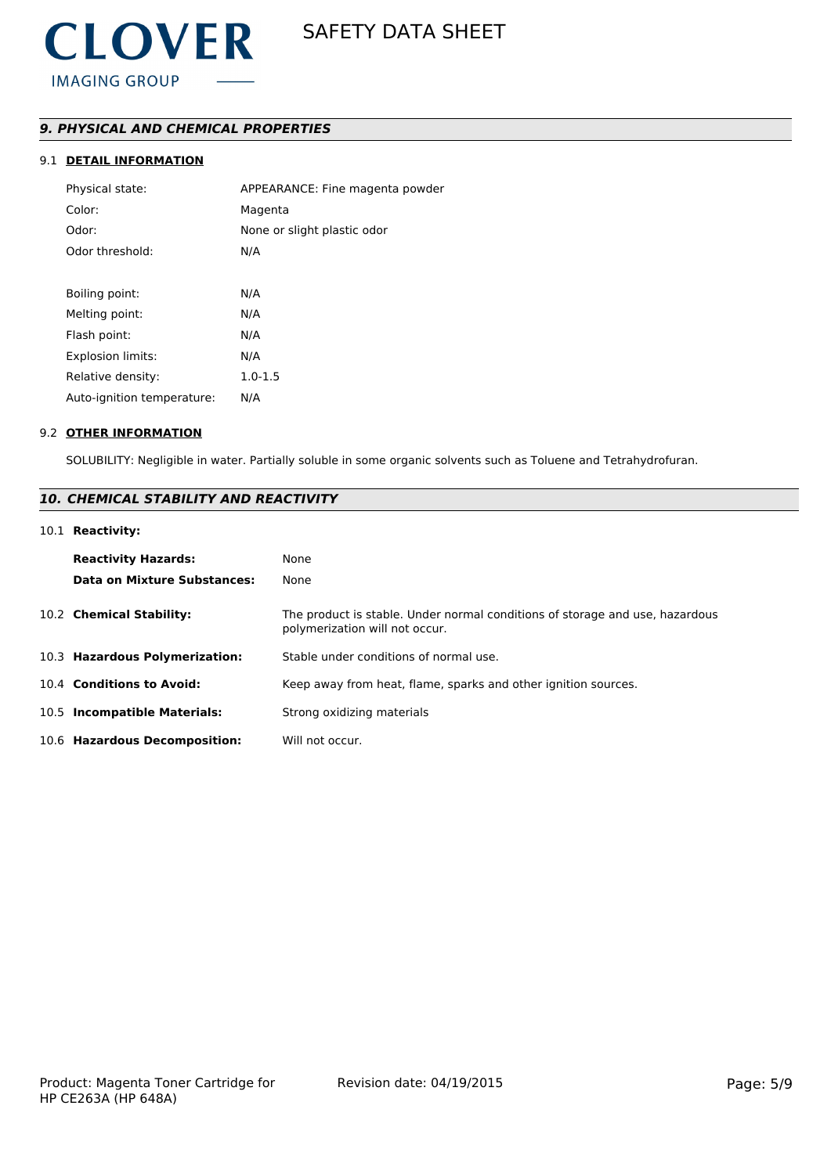# *9. PHYSICAL AND CHEMICAL PROPERTIES*

# 9.1 **DETAIL INFORMATION**

| Physical state:            | APPEARANCE: Fine magenta powder |
|----------------------------|---------------------------------|
| Color:                     | Magenta                         |
| Odor:                      | None or slight plastic odor     |
| Odor threshold:            | N/A                             |
|                            |                                 |
| Boiling point:             | N/A                             |
| Melting point:             | N/A                             |
| Flash point:               | N/A                             |
| <b>Explosion limits:</b>   | N/A                             |
| Relative density:          | $1.0 - 1.5$                     |
| Auto-ignition temperature: | N/A                             |
|                            |                                 |

#### 9.2 **OTHER INFORMATION**

SOLUBILITY: Negligible in water. Partially soluble in some organic solvents such as Toluene and Tetrahydrofuran.

# *10. CHEMICAL STABILITY AND REACTIVITY*

### 10.1 **Reactivity:**

| <b>Reactivity Hazards:</b><br>Data on Mixture Substances: | None<br>None                                                                                                   |
|-----------------------------------------------------------|----------------------------------------------------------------------------------------------------------------|
| 10.2 Chemical Stability:                                  | The product is stable. Under normal conditions of storage and use, hazardous<br>polymerization will not occur. |
| 10.3 Hazardous Polymerization:                            | Stable under conditions of normal use.                                                                         |
| 10.4 Conditions to Avoid:                                 | Keep away from heat, flame, sparks and other ignition sources.                                                 |
| 10.5 Incompatible Materials:                              | Strong oxidizing materials                                                                                     |
| 10.6 Hazardous Decomposition:                             | Will not occur.                                                                                                |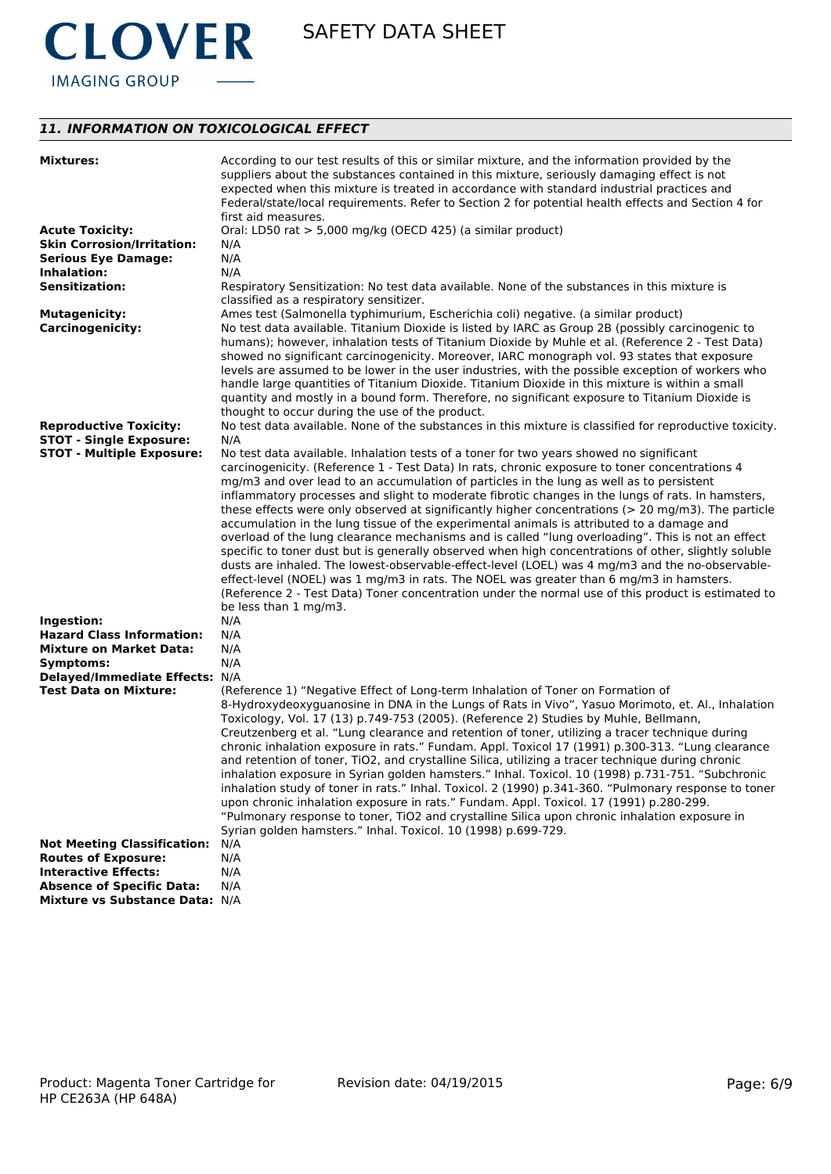

# *11. INFORMATION ON TOXICOLOGICAL EFFECT*

| <b>Mixtures:</b>                   | According to our test results of this or similar mixture, and the information provided by the<br>suppliers about the substances contained in this mixture, seriously damaging effect is not<br>expected when this mixture is treated in accordance with standard industrial practices and<br>Federal/state/local requirements. Refer to Section 2 for potential health effects and Section 4 for<br>first aid measures.                                                                                                                                                                                                                                           |
|------------------------------------|-------------------------------------------------------------------------------------------------------------------------------------------------------------------------------------------------------------------------------------------------------------------------------------------------------------------------------------------------------------------------------------------------------------------------------------------------------------------------------------------------------------------------------------------------------------------------------------------------------------------------------------------------------------------|
| <b>Acute Toxicity:</b>             | Oral: LD50 rat > 5,000 mg/kg (OECD 425) (a similar product)                                                                                                                                                                                                                                                                                                                                                                                                                                                                                                                                                                                                       |
| <b>Skin Corrosion/Irritation:</b>  | N/A                                                                                                                                                                                                                                                                                                                                                                                                                                                                                                                                                                                                                                                               |
| <b>Serious Eye Damage:</b>         | N/A                                                                                                                                                                                                                                                                                                                                                                                                                                                                                                                                                                                                                                                               |
| Inhalation:                        | N/A                                                                                                                                                                                                                                                                                                                                                                                                                                                                                                                                                                                                                                                               |
| <b>Sensitization:</b>              | Respiratory Sensitization: No test data available. None of the substances in this mixture is<br>classified as a respiratory sensitizer.                                                                                                                                                                                                                                                                                                                                                                                                                                                                                                                           |
| <b>Mutagenicity:</b>               | Ames test (Salmonella typhimurium, Escherichia coli) negative. (a similar product)                                                                                                                                                                                                                                                                                                                                                                                                                                                                                                                                                                                |
| <b>Carcinogenicity:</b>            | No test data available. Titanium Dioxide is listed by IARC as Group 2B (possibly carcinogenic to<br>humans); however, inhalation tests of Titanium Dioxide by Muhle et al. (Reference 2 - Test Data)<br>showed no significant carcinogenicity. Moreover, IARC monograph vol. 93 states that exposure<br>levels are assumed to be lower in the user industries, with the possible exception of workers who<br>handle large quantities of Titanium Dioxide. Titanium Dioxide in this mixture is within a small<br>quantity and mostly in a bound form. Therefore, no significant exposure to Titanium Dioxide is<br>thought to occur during the use of the product. |
| <b>Reproductive Toxicity:</b>      | No test data available. None of the substances in this mixture is classified for reproductive toxicity.                                                                                                                                                                                                                                                                                                                                                                                                                                                                                                                                                           |
| <b>STOT - Single Exposure:</b>     | N/A                                                                                                                                                                                                                                                                                                                                                                                                                                                                                                                                                                                                                                                               |
| <b>STOT - Multiple Exposure:</b>   | No test data available. Inhalation tests of a toner for two years showed no significant                                                                                                                                                                                                                                                                                                                                                                                                                                                                                                                                                                           |
|                                    | carcinogenicity. (Reference 1 - Test Data) In rats, chronic exposure to toner concentrations 4                                                                                                                                                                                                                                                                                                                                                                                                                                                                                                                                                                    |
|                                    | mg/m3 and over lead to an accumulation of particles in the lung as well as to persistent                                                                                                                                                                                                                                                                                                                                                                                                                                                                                                                                                                          |
|                                    | inflammatory processes and slight to moderate fibrotic changes in the lungs of rats. In hamsters,                                                                                                                                                                                                                                                                                                                                                                                                                                                                                                                                                                 |
|                                    | these effects were only observed at significantly higher concentrations ( $>$ 20 mg/m3). The particle                                                                                                                                                                                                                                                                                                                                                                                                                                                                                                                                                             |
|                                    | accumulation in the lung tissue of the experimental animals is attributed to a damage and                                                                                                                                                                                                                                                                                                                                                                                                                                                                                                                                                                         |
|                                    | overload of the lung clearance mechanisms and is called "lung overloading". This is not an effect                                                                                                                                                                                                                                                                                                                                                                                                                                                                                                                                                                 |
|                                    | specific to toner dust but is generally observed when high concentrations of other, slightly soluble                                                                                                                                                                                                                                                                                                                                                                                                                                                                                                                                                              |
|                                    | dusts are inhaled. The lowest-observable-effect-level (LOEL) was 4 mg/m3 and the no-observable-<br>effect-level (NOEL) was 1 mg/m3 in rats. The NOEL was greater than 6 mg/m3 in hamsters.                                                                                                                                                                                                                                                                                                                                                                                                                                                                        |
|                                    | (Reference 2 - Test Data) Toner concentration under the normal use of this product is estimated to                                                                                                                                                                                                                                                                                                                                                                                                                                                                                                                                                                |
|                                    | be less than 1 mg/m3.                                                                                                                                                                                                                                                                                                                                                                                                                                                                                                                                                                                                                                             |
| Ingestion:                         | N/A                                                                                                                                                                                                                                                                                                                                                                                                                                                                                                                                                                                                                                                               |
| <b>Hazard Class Information:</b>   | N/A                                                                                                                                                                                                                                                                                                                                                                                                                                                                                                                                                                                                                                                               |
| <b>Mixture on Market Data:</b>     | N/A                                                                                                                                                                                                                                                                                                                                                                                                                                                                                                                                                                                                                                                               |
| Symptoms:                          | N/A                                                                                                                                                                                                                                                                                                                                                                                                                                                                                                                                                                                                                                                               |
| Delayed/Immediate Effects: N/A     |                                                                                                                                                                                                                                                                                                                                                                                                                                                                                                                                                                                                                                                                   |
| <b>Test Data on Mixture:</b>       | (Reference 1) "Negative Effect of Long-term Inhalation of Toner on Formation of                                                                                                                                                                                                                                                                                                                                                                                                                                                                                                                                                                                   |
|                                    | 8-Hydroxydeoxyguanosine in DNA in the Lungs of Rats in Vivo", Yasuo Morimoto, et. Al., Inhalation                                                                                                                                                                                                                                                                                                                                                                                                                                                                                                                                                                 |
|                                    | Toxicology, Vol. 17 (13) p.749-753 (2005). (Reference 2) Studies by Muhle, Bellmann,                                                                                                                                                                                                                                                                                                                                                                                                                                                                                                                                                                              |
|                                    | Creutzenberg et al. "Lung clearance and retention of toner, utilizing a tracer technique during                                                                                                                                                                                                                                                                                                                                                                                                                                                                                                                                                                   |
|                                    | chronic inhalation exposure in rats." Fundam. Appl. Toxicol 17 (1991) p.300-313. "Lung clearance                                                                                                                                                                                                                                                                                                                                                                                                                                                                                                                                                                  |
|                                    | and retention of toner, TiO2, and crystalline Silica, utilizing a tracer technique during chronic                                                                                                                                                                                                                                                                                                                                                                                                                                                                                                                                                                 |
|                                    | inhalation exposure in Syrian golden hamsters." Inhal. Toxicol. 10 (1998) p.731-751. "Subchronic                                                                                                                                                                                                                                                                                                                                                                                                                                                                                                                                                                  |
|                                    | inhalation study of toner in rats." Inhal. Toxicol. 2 (1990) p.341-360. "Pulmonary response to toner                                                                                                                                                                                                                                                                                                                                                                                                                                                                                                                                                              |
|                                    | upon chronic inhalation exposure in rats." Fundam. Appl. Toxicol. 17 (1991) p.280-299.                                                                                                                                                                                                                                                                                                                                                                                                                                                                                                                                                                            |
|                                    | "Pulmonary response to toner, TiO2 and crystalline Silica upon chronic inhalation exposure in                                                                                                                                                                                                                                                                                                                                                                                                                                                                                                                                                                     |
|                                    | Syrian golden hamsters." Inhal. Toxicol. 10 (1998) p.699-729.                                                                                                                                                                                                                                                                                                                                                                                                                                                                                                                                                                                                     |
| <b>Not Meeting Classification:</b> | N/A                                                                                                                                                                                                                                                                                                                                                                                                                                                                                                                                                                                                                                                               |
| <b>Routes of Exposure:</b>         | N/A                                                                                                                                                                                                                                                                                                                                                                                                                                                                                                                                                                                                                                                               |
| <b>Interactive Effects:</b>        | N/A                                                                                                                                                                                                                                                                                                                                                                                                                                                                                                                                                                                                                                                               |
| <b>Absence of Specific Data:</b>   | N/A                                                                                                                                                                                                                                                                                                                                                                                                                                                                                                                                                                                                                                                               |
| Mixture vs Substance Data: N/A     |                                                                                                                                                                                                                                                                                                                                                                                                                                                                                                                                                                                                                                                                   |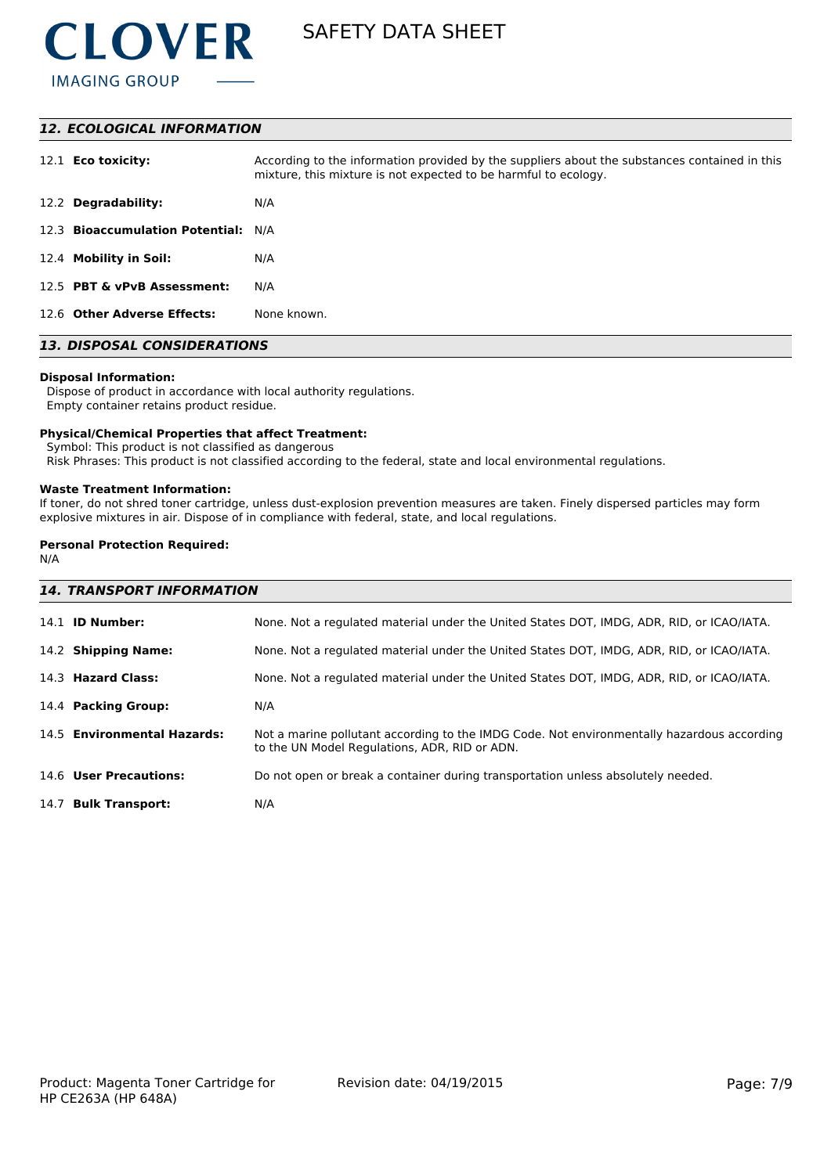

#### *12. ECOLOGICAL INFORMATION*

| 12.1 <b>Eco toxicity:</b>           | According to the information provided by the suppliers about the substances contained in this<br>mixture, this mixture is not expected to be harmful to ecology. |
|-------------------------------------|------------------------------------------------------------------------------------------------------------------------------------------------------------------|
| 12.2 Degradability:                 | N/A                                                                                                                                                              |
| 12.3 Bioaccumulation Potential: N/A |                                                                                                                                                                  |
| 12.4 Mobility in Soil:              | N/A                                                                                                                                                              |
| 12.5 PBT & vPvB Assessment:         | N/A                                                                                                                                                              |
| 12.6 Other Adverse Effects:         | None known.                                                                                                                                                      |

# *13. DISPOSAL CONSIDERATIONS*

#### **Disposal Information:**

 Dispose of product in accordance with local authority regulations. Empty container retains product residue.

#### **Physical/Chemical Properties that affect Treatment:**

Symbol: This product is not classified as dangerous

Risk Phrases: This product is not classified according to the federal, state and local environmental regulations.

#### **Waste Treatment Information:**

If toner, do not shred toner cartridge, unless dust-explosion prevention measures are taken. Finely dispersed particles may form explosive mixtures in air. Dispose of in compliance with federal, state, and local regulations.

## **Personal Protection Required:**

N/A

| <b>14. TRANSPORT INFORMATION</b> |                                                                                                                                             |  |
|----------------------------------|---------------------------------------------------------------------------------------------------------------------------------------------|--|
| 14.1 <b>ID Number:</b>           | None. Not a regulated material under the United States DOT, IMDG, ADR, RID, or ICAO/IATA.                                                   |  |
| 14.2 Shipping Name:              | None. Not a regulated material under the United States DOT, IMDG, ADR, RID, or ICAO/IATA.                                                   |  |
| 14.3 Hazard Class:               | None. Not a regulated material under the United States DOT, IMDG, ADR, RID, or ICAO/IATA.                                                   |  |
| 14.4 Packing Group:              | N/A                                                                                                                                         |  |
| 14.5 Environmental Hazards:      | Not a marine pollutant according to the IMDG Code. Not environmentally hazardous according<br>to the UN Model Regulations, ADR, RID or ADN. |  |
| 14.6 User Precautions:           | Do not open or break a container during transportation unless absolutely needed.                                                            |  |
| 14.7 Bulk Transport:             | N/A                                                                                                                                         |  |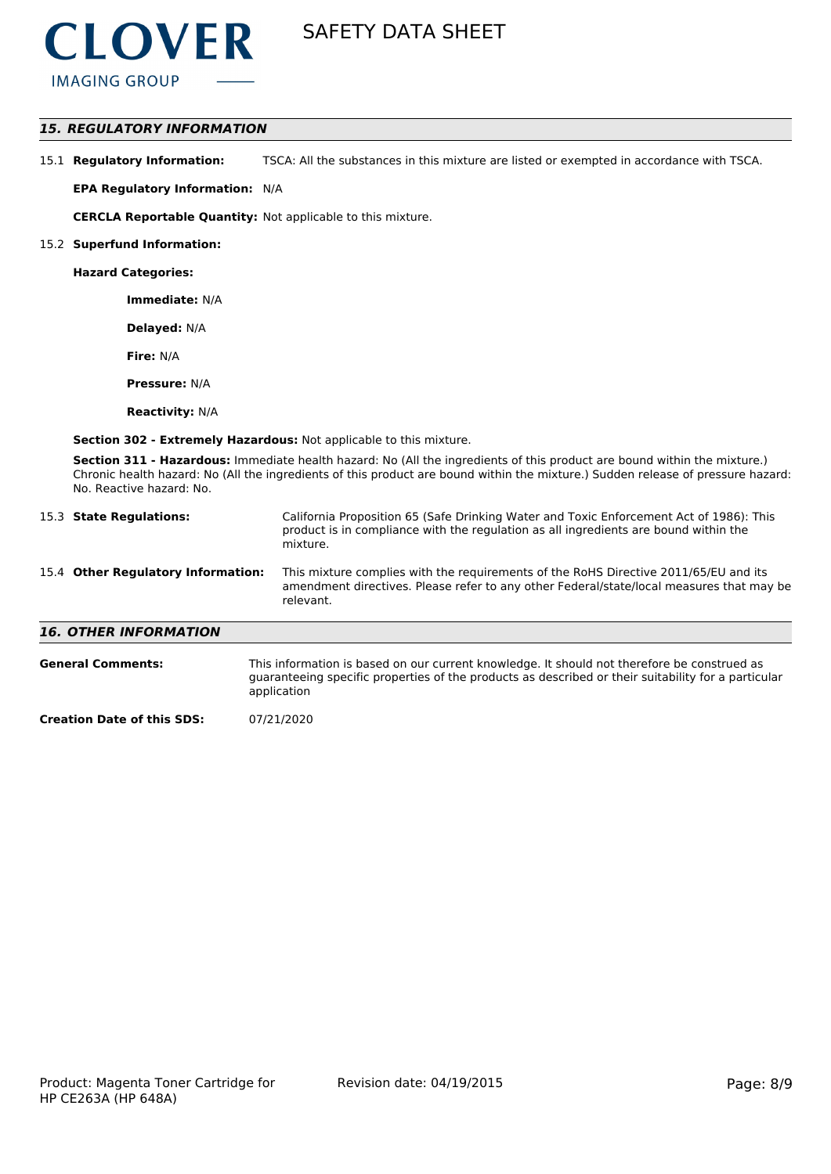

### *15. REGULATORY INFORMATION*

15.1 **Regulatory Information:** TSCA: All the substances in this mixture are listed or exempted in accordance with TSCA.

**EPA Regulatory Information:** N/A

**CERCLA Reportable Quantity:** Not applicable to this mixture.

#### 15.2 **Superfund Information:**

**Hazard Categories:**

**Immediate:** N/A

**Delayed:** N/A

**Fire:** N/A

**Pressure:** N/A

**Reactivity:** N/A

**Section 302 - Extremely Hazardous:** Not applicable to this mixture.

**Section 311 - Hazardous:** Immediate health hazard: No (All the ingredients of this product are bound within the mixture.) Chronic health hazard: No (All the ingredients of this product are bound within the mixture.) Sudden release of pressure hazard: No. Reactive hazard: No.

| 15.3 State Regulations:            | California Proposition 65 (Safe Drinking Water and Toxic Enforcement Act of 1986): This<br>product is in compliance with the regulation as all ingredients are bound within the<br>mixture.   |
|------------------------------------|-----------------------------------------------------------------------------------------------------------------------------------------------------------------------------------------------|
| 15.4 Other Regulatory Information: | This mixture complies with the requirements of the RoHS Directive 2011/65/EU and its<br>amendment directives. Please refer to any other Federal/state/local measures that may be<br>relevant. |
| <b>16. OTHER INFORMATION</b>       |                                                                                                                                                                                               |
| <b>General Comments:</b>           | This information is based on our current knowledge. It should not therefore be construed as                                                                                                   |

guaranteeing specific properties of the products as described or their suitability for a particular application

**Creation Date of this SDS:** 07/21/2020